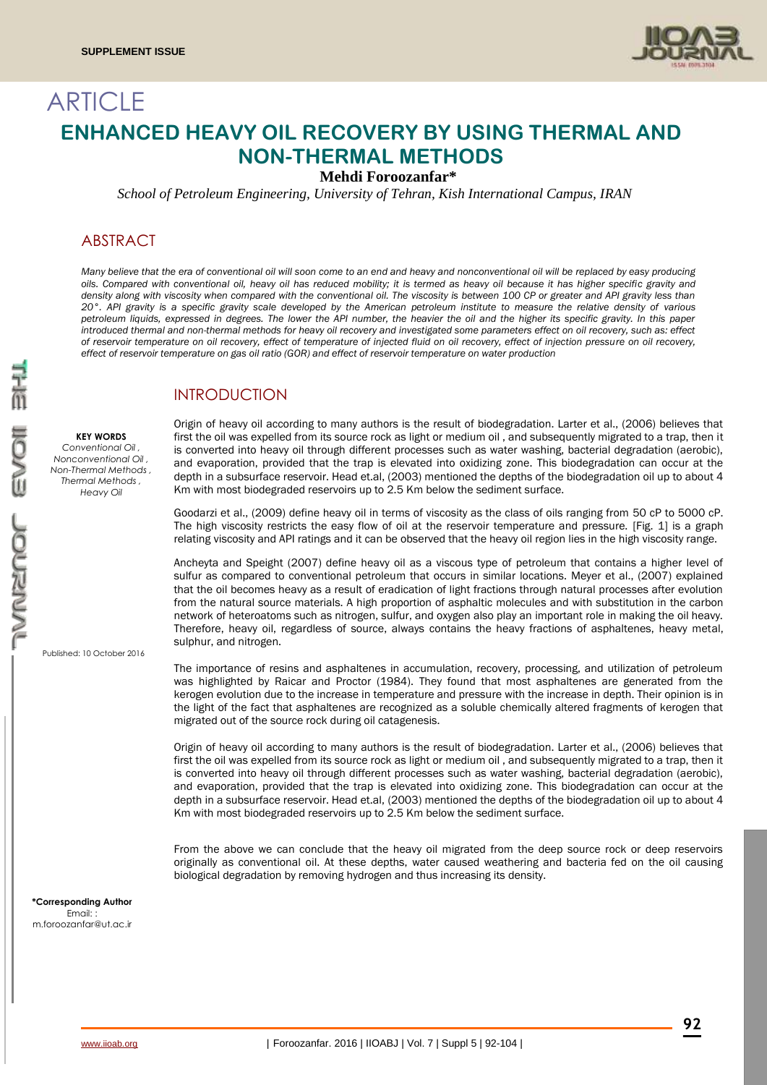

# **ARTICLE ENHANCED HEAVY OIL RECOVERY BY USING THERMAL AND NON-THERMAL METHODS**

**Mehdi Foroozanfar\***

*School of Petroleum Engineering, University of Tehran, Kish International Campus, IRAN*

### ABSTRACT

*Many believe that the era of conventional oil will soon come to an end and heavy and nonconventional oil will be replaced by easy producing oils. Compared with conventional oil, heavy oil has reduced mobility; it is termed as heavy oil because it has higher specific gravity and density along with viscosity when compared with the conventional oil. The viscosity is between 100 CP or greater and API gravity less than 20°. API gravity is a specific gravity scale developed by the American petroleum institute to measure the relative density of various petroleum liquids, expressed in degrees. The lower the API number, the heavier the oil and the higher its specific gravity. In this paper introduced thermal and non-thermal methods for heavy oil recovery and investigated some parameters effect on oil recovery, such as: effect of reservoir temperature on oil recovery, effect of temperature of injected fluid on oil recovery, effect of injection pressure on oil recovery, effect of reservoir temperature on gas oil ratio (GOR) and effect of reservoir temperature on water production*

### INTRODUCTION

**KEY WORDS** *Conventional Oil , Nonconventional Oil , Non-Thermal Methods , Thermal Methods , Heavy Oil*

Published: 10 October 2016

Origin of heavy oil according to many authors is the result of biodegradation. Larter et al., (2006) believes that first the oil was expelled from its source rock as light or medium oil , and subsequently migrated to a trap, then it is converted into heavy oil through different processes such as water washing, bacterial degradation (aerobic), and evaporation, provided that the trap is elevated into oxidizing zone. This biodegradation can occur at the depth in a subsurface reservoir. Head et.al, (2003) mentioned the depths of the biodegradation oil up to about 4 Km with most biodegraded reservoirs up to 2.5 Km below the sediment surface.

Goodarzi et al., (2009) define heavy oil in terms of viscosity as the class of oils ranging from 50 cP to 5000 cP. The high viscosity restricts the easy flow of oil at the reservoir temperature and pressure. [Fig. 1] is a graph relating viscosity and API ratings and it can be observed that the heavy oil region lies in the high viscosity range.

Ancheyta and Speight (2007) define heavy oil as a viscous type of petroleum that contains a higher level of sulfur as compared to conventional petroleum that occurs in similar locations. Meyer et al., (2007) explained that the oil becomes heavy as a result of eradication of light fractions through natural processes after evolution from the natural source materials. A high proportion of asphaltic molecules and with substitution in the carbon network of heteroatoms such as nitrogen, sulfur, and oxygen also play an important role in making the oil heavy. Therefore, heavy oil, regardless of source, always contains the heavy fractions of asphaltenes, heavy metal, sulphur, and nitrogen.

The importance of resins and asphaltenes in accumulation, recovery, processing, and utilization of petroleum was highlighted by Raicar and Proctor (1984). They found that most asphaltenes are generated from the kerogen evolution due to the increase in temperature and pressure with the increase in depth. Their opinion is in the light of the fact that asphaltenes are recognized as a soluble chemically altered fragments of kerogen that migrated out of the source rock during oil catagenesis.

Origin of heavy oil according to many authors is the result of biodegradation. Larter et al., (2006) believes that first the oil was expelled from its source rock as light or medium oil , and subsequently migrated to a trap, then it is converted into heavy oil through different processes such as water washing, bacterial degradation (aerobic), and evaporation, provided that the trap is elevated into oxidizing zone. This biodegradation can occur at the depth in a subsurface reservoir. Head et.al, (2003) mentioned the depths of the biodegradation oil up to about 4 Km with most biodegraded reservoirs up to 2.5 Km below the sediment surface.

From the above we can conclude that the heavy oil migrated from the deep source rock or deep reservoirs originally as conventional oil. At these depths, water caused weathering and bacteria fed on the oil causing biological degradation by removing hydrogen and thus increasing its density.

**\*Corresponding Author** Email: : m.foroozanfar@ut.ac.ir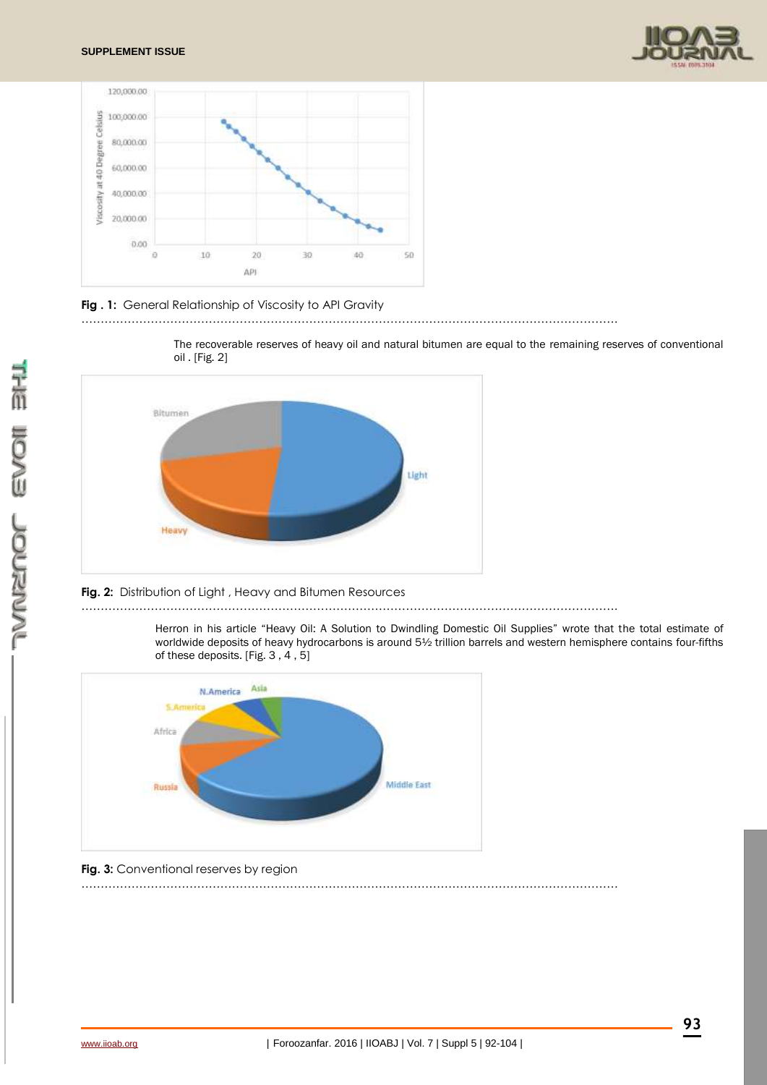



### **Fig . 1:** General Relationship of Viscosity to API Gravity





### **Fig. 2:** Distribution of Light , Heavy and Bitumen Resources

………………………………………………………………………………………………………………………….

………………………………………………………………………………………………………………………….

Herron in his article "Heavy Oil: A Solution to Dwindling Domestic Oil Supplies" wrote that the total estimate of worldwide deposits of heavy hydrocarbons is around 5½ trillion barrels and western hemisphere contains four-fifths of these deposits. [Fig. 3 , 4 , 5]



**Fig. 3:** Conventional reserves by region

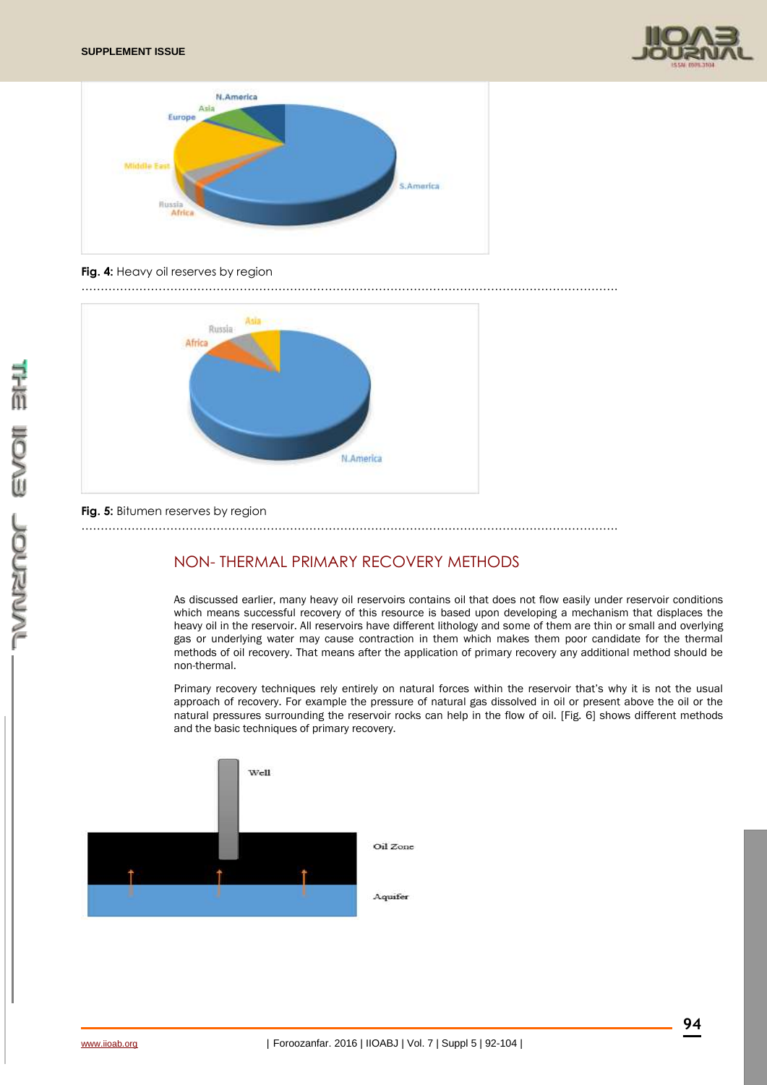



### **Fig. 4:** Heavy oil reserves by region

………………………………………………………………………………………………………………………….



### **Fig. 5:** Bitumen reserves by region

………………………………………………………………………………………………………………………….

# NON- THERMAL PRIMARY RECOVERY METHODS

As discussed earlier, many heavy oil reservoirs contains oil that does not flow easily under reservoir conditions which means successful recovery of this resource is based upon developing a mechanism that displaces the heavy oil in the reservoir. All reservoirs have different lithology and some of them are thin or small and overlying gas or underlying water may cause contraction in them which makes them poor candidate for the thermal methods of oil recovery. That means after the application of primary recovery any additional method should be non-thermal.

Primary recovery techniques rely entirely on natural forces within the reservoir that's why it is not the usual approach of recovery. For example the pressure of natural gas dissolved in oil or present above the oil or the natural pressures surrounding the reservoir rocks can help in the flow of oil. [Fig. 6] shows different methods and the basic techniques of primary recovery.

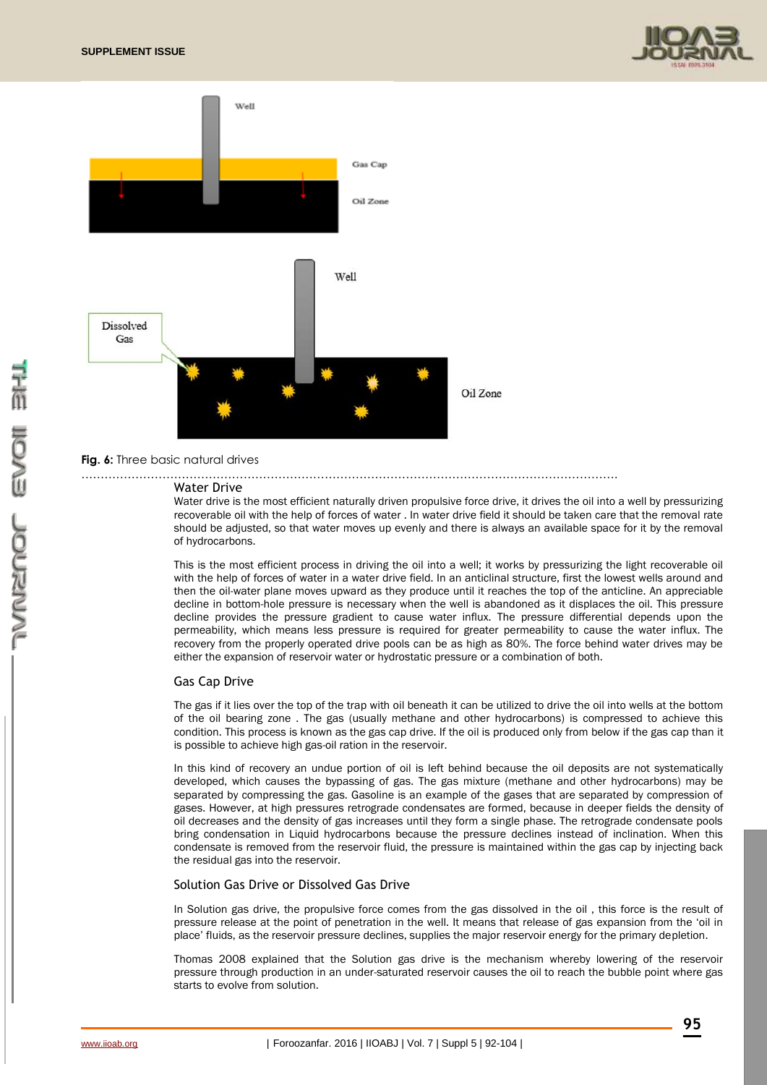



………………………………………………………………………………………………………………………….

#### **Fig. 6:** Three basic natural drives

#### Water Drive

Water drive is the most efficient naturally driven propulsive force drive, it drives the oil into a well by pressurizing recoverable oil with the help of forces of water . In water drive field it should be taken care that the removal rate should be adjusted, so that water moves up evenly and there is always an available space for it by the removal of hydrocarbons.

This is the most efficient process in driving the oil into a well; it works by pressurizing the light recoverable oil with the help of forces of water in a water drive field. In an anticlinal structure, first the lowest wells around and then the oil-water plane moves upward as they produce until it reaches the top of the anticline. An appreciable decline in bottom-hole pressure is necessary when the well is abandoned as it displaces the oil. This pressure decline provides the pressure gradient to cause water influx. The pressure differential depends upon the permeability, which means less pressure is required for greater permeability to cause the water influx. The recovery from the properly operated drive pools can be as high as 80%. The force behind water drives may be either the expansion of reservoir water or hydrostatic pressure or a combination of both.

#### Gas Cap Drive

The gas if it lies over the top of the trap with oil beneath it can be utilized to drive the oil into wells at the bottom of the oil bearing zone . The gas (usually methane and other hydrocarbons) is compressed to achieve this condition. This process is known as the gas cap drive. If the oil is produced only from below if the gas cap than it is possible to achieve high gas-oil ration in the reservoir.

In this kind of recovery an undue portion of oil is left behind because the oil deposits are not systematically developed, which causes the bypassing of gas. The gas mixture (methane and other hydrocarbons) may be separated by compressing the gas. Gasoline is an example of the gases that are separated by compression of gases. However, at high pressures retrograde condensates are formed, because in deeper fields the density of oil decreases and the density of gas increases until they form a single phase. The retrograde condensate pools bring condensation in Liquid hydrocarbons because the pressure declines instead of inclination. When this condensate is removed from the reservoir fluid, the pressure is maintained within the gas cap by injecting back the residual gas into the reservoir.

#### Solution Gas Drive or Dissolved Gas Drive

In Solution gas drive, the propulsive force comes from the gas dissolved in the oil, this force is the result of pressure release at the point of penetration in the well. It means that release of gas expansion from the 'oil in place' fluids, as the reservoir pressure declines, supplies the major reservoir energy for the primary depletion.

Thomas 2008 explained that the Solution gas drive is the mechanism whereby lowering of the reservoir pressure through production in an under-saturated reservoir causes the oil to reach the bubble point where gas starts to evolve from solution.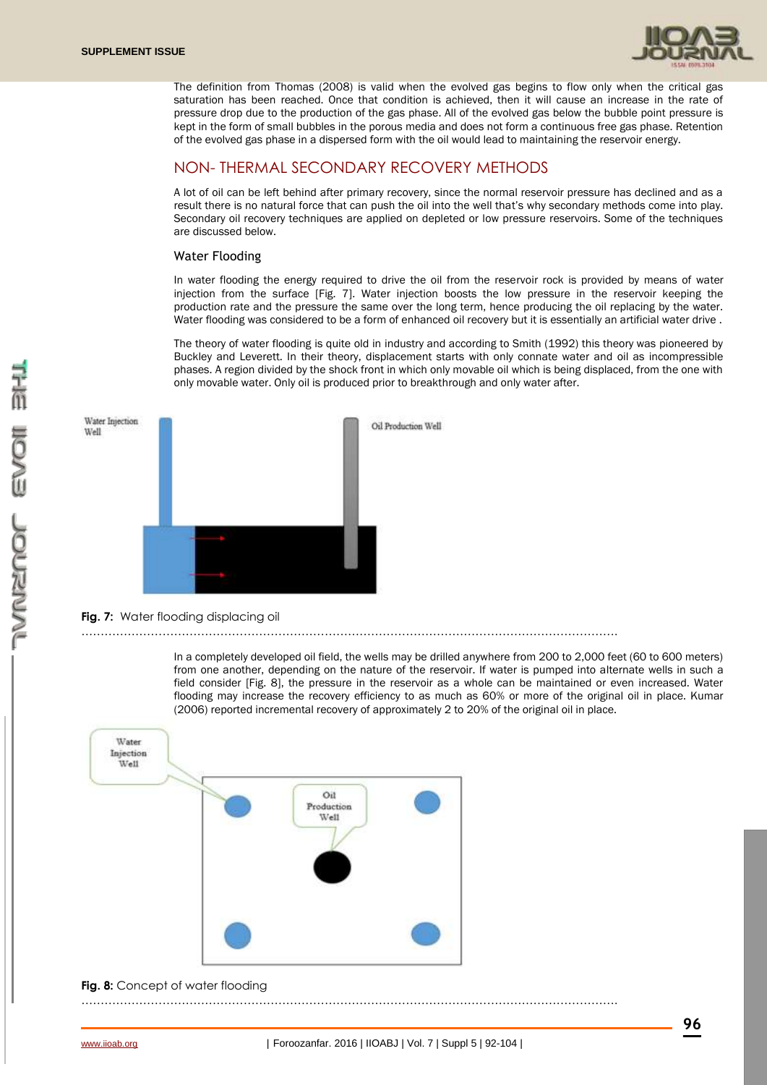

The definition from Thomas (2008) is valid when the evolved gas begins to flow only when the critical gas saturation has been reached. Once that condition is achieved, then it will cause an increase in the rate of pressure drop due to the production of the gas phase. All of the evolved gas below the bubble point pressure is kept in the form of small bubbles in the porous media and does not form a continuous free gas phase. Retention of the evolved gas phase in a dispersed form with the oil would lead to maintaining the reservoir energy.

# NON- THERMAL SECONDARY RECOVERY METHODS

A lot of oil can be left behind after primary recovery, since the normal reservoir pressure has declined and as a result there is no natural force that can push the oil into the well that's why secondary methods come into play. Secondary oil recovery techniques are applied on depleted or low pressure reservoirs. Some of the techniques are discussed below.

### Water Flooding

In water flooding the energy required to drive the oil from the reservoir rock is provided by means of water injection from the surface [Fig. 7]. Water injection boosts the low pressure in the reservoir keeping the production rate and the pressure the same over the long term, hence producing the oil replacing by the water. Water flooding was considered to be a form of enhanced oil recovery but it is essentially an artificial water drive .

The theory of water flooding is quite old in industry and according to Smith (1992) this theory was pioneered by Buckley and Leverett. In their theory, displacement starts with only connate water and oil as incompressible phases. A region divided by the shock front in which only movable oil which is being displaced, from the one with only movable water. Only oil is produced prior to breakthrough and only water after.



### **Fig. 7:** Water flooding displacing oil

………………………………………………………………………………………………………………………….

In a completely developed oil field, the wells may be drilled anywhere from 200 to 2,000 feet (60 to 600 meters) from one another, depending on the nature of the reservoir. If water is pumped into alternate wells in such a field consider [Fig. 8], the pressure in the reservoir as a whole can be maintained or even increased. Water flooding may increase the recovery efficiency to as much as 60% or more of the original oil in place. Kumar (2006) reported incremental recovery of approximately 2 to 20% of the original oil in place.



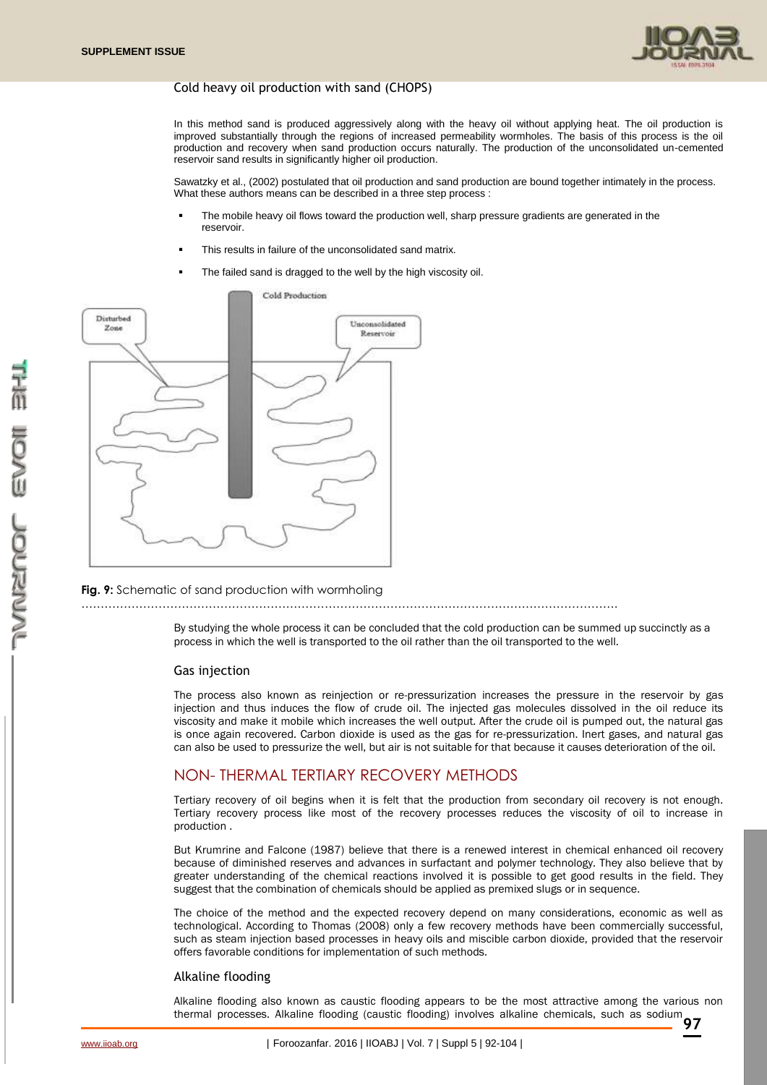

### Cold heavy oil production with sand (CHOPS)

In this method sand is produced aggressively along with the heavy oil without applying heat. The oil production is improved substantially through the regions of increased permeability wormholes. The basis of this process is the oil production and recovery when sand production occurs naturally. The production of the unconsolidated un-cemented reservoir sand results in significantly higher oil production.

Sawatzky et al., (2002) postulated that oil production and sand production are bound together intimately in the process. What these authors means can be described in a three step process :

- The mobile heavy oil flows toward the production well, sharp pressure gradients are generated in the reservoir.
- This results in failure of the unconsolidated sand matrix.
- The failed sand is dragged to the well by the high viscosity oil.



### **Fig. 9:** Schematic of sand production with wormholing

By studying the whole process it can be concluded that the cold production can be summed up succinctly as a process in which the well is transported to the oil rather than the oil transported to the well.

#### Gas injection

The process also known as reinjection or re-pressurization increases the pressure in the reservoir by gas injection and thus induces the flow of crude oil. The injected gas molecules dissolved in the oil reduce its viscosity and make it mobile which increases the well output. After the crude oil is pumped out, the natural gas is once again recovered. Carbon dioxide is used as the gas for re-pressurization. Inert gases, and natural gas can also be used to pressurize the well, but air is not suitable for that because it causes deterioration of the oil.

# NON- THERMAL TERTIARY RECOVERY METHODS

Tertiary recovery of oil begins when it is felt that the production from secondary oil recovery is not enough. Tertiary recovery process like most of the recovery processes reduces the viscosity of oil to increase in production .

But Krumrine and Falcone (1987) believe that there is a renewed interest in chemical enhanced oil recovery because of diminished reserves and advances in surfactant and polymer technology. They also believe that by greater understanding of the chemical reactions involved it is possible to get good results in the field. They suggest that the combination of chemicals should be applied as premixed slugs or in sequence.

The choice of the method and the expected recovery depend on many considerations, economic as well as technological. According to Thomas (2008) only a few recovery methods have been commercially successful, such as steam injection based processes in heavy oils and miscible carbon dioxide, provided that the reservoir offers favorable conditions for implementation of such methods.

#### Alkaline flooding

thermal processes. Alkaline flooding (caustic flooding) involves alkaline chemicals, such as sodium<br>**97** Alkaline flooding also known as caustic flooding appears to be the most attractive among the various non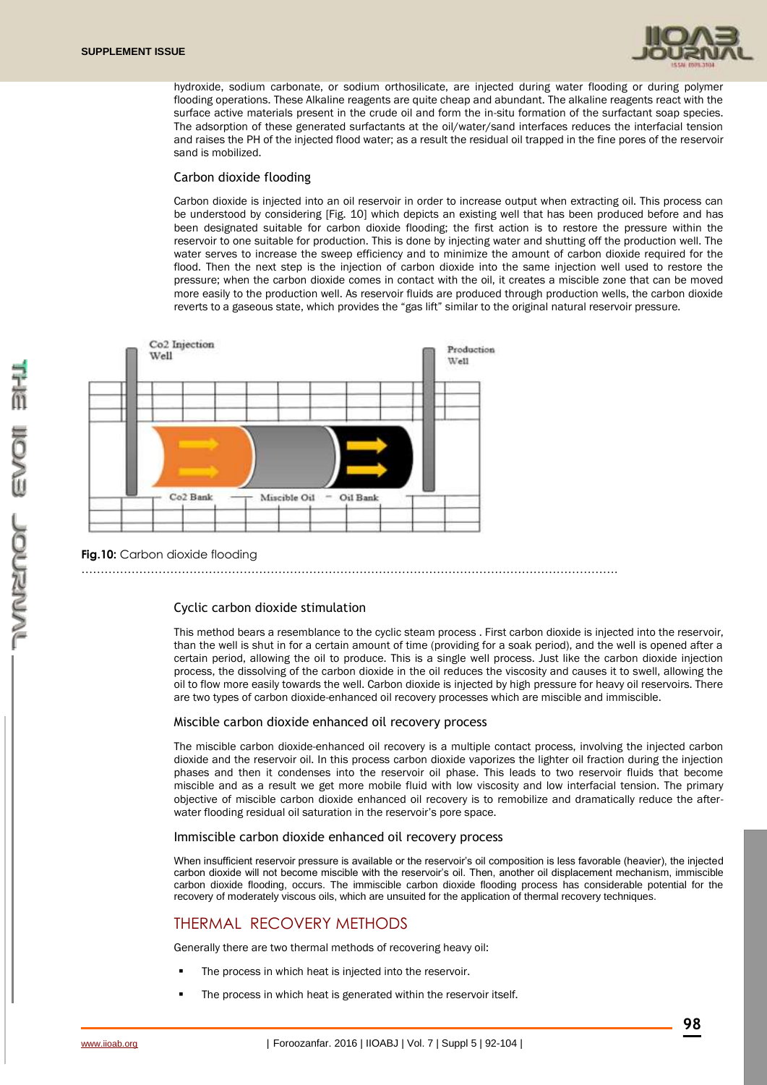

hydroxide, sodium carbonate, or sodium orthosilicate, are injected during water flooding or during polymer flooding operations. These Alkaline reagents are quite cheap and abundant. The alkaline reagents react with the surface active materials present in the crude oil and form the in-situ formation of the surfactant soap species. The adsorption of these generated surfactants at the oil/water/sand interfaces reduces the interfacial tension and raises the PH of the injected flood water; as a result the residual oil trapped in the fine pores of the reservoir sand is mobilized.

### Carbon dioxide flooding

Carbon dioxide is injected into an oil reservoir in order to increase output when extracting oil. This process can be understood by considering [Fig. 10] which depicts an existing well that has been produced before and has been designated suitable for carbon dioxide flooding; the first action is to restore the pressure within the reservoir to one suitable for production. This is done by injecting water and shutting off the production well. The water serves to increase the sweep efficiency and to minimize the amount of carbon dioxide required for the flood. Then the next step is the injection of carbon dioxide into the same injection well used to restore the pressure; when the carbon dioxide comes in contact with the oil, it creates a miscible zone that can be moved more easily to the production well. As reservoir fluids are produced through production wells, the carbon dioxide reverts to a gaseous state, which provides the "gas lift" similar to the original natural reservoir pressure.



### **Fig.10:** Carbon dioxide flooding

………………………………………………………………………………………………………………………….

### Cyclic carbon dioxide stimulation

This method bears a resemblance to the cyclic steam process . First carbon dioxide is injected into the reservoir, than the well is shut in for a certain amount of time (providing for a soak period), and the well is opened after a certain period, allowing the oil to produce. This is a single well process. Just like the carbon dioxide injection process, the dissolving of the carbon dioxide in the oil reduces the viscosity and causes it to swell, allowing the oil to flow more easily towards the well. Carbon dioxide is injected by high pressure for heavy oil reservoirs. There are two types of carbon dioxide-enhanced oil recovery processes which are miscible and immiscible.

#### Miscible carbon dioxide enhanced oil recovery process

The miscible carbon dioxide-enhanced oil recovery is a multiple contact process, involving the injected carbon dioxide and the reservoir oil. In this process carbon dioxide vaporizes the lighter oil fraction during the injection phases and then it condenses into the reservoir oil phase. This leads to two reservoir fluids that become miscible and as a result we get more mobile fluid with low viscosity and low interfacial tension. The primary objective of miscible carbon dioxide enhanced oil recovery is to remobilize and dramatically reduce the afterwater flooding residual oil saturation in the reservoir's pore space.

#### Immiscible carbon dioxide enhanced oil recovery process

When insufficient reservoir pressure is available or the reservoir's oil composition is less favorable (heavier), the injected carbon dioxide will not become miscible with the reservoir's oil. Then, another oil displacement mechanism, immiscible carbon dioxide flooding, occurs. The immiscible carbon dioxide flooding process has considerable potential for the recovery of moderately viscous oils, which are unsuited for the application of thermal recovery techniques.

# THERMAL RECOVERY METHODS

Generally there are two thermal methods of recovering heavy oil:

- The process in which heat is injected into the reservoir.
- The process in which heat is generated within the reservoir itself.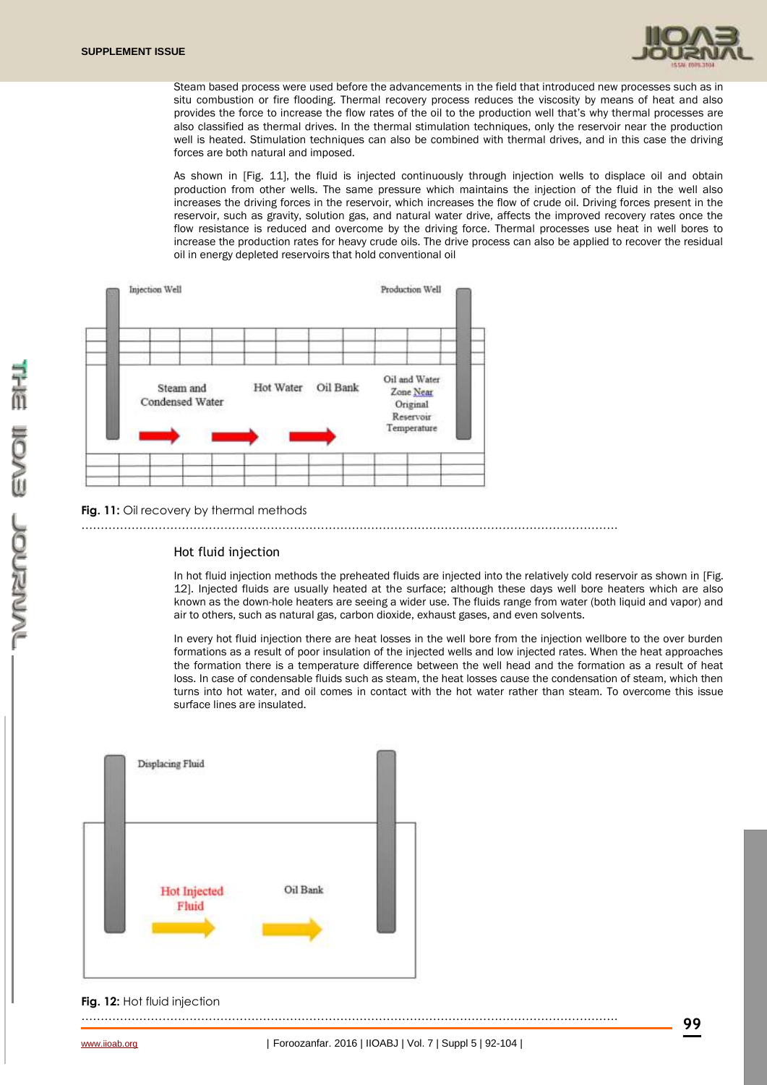

Steam based process were used before the advancements in the field that introduced new processes such as in situ combustion or fire flooding. Thermal recovery process reduces the viscosity by means of heat and also provides the force to increase the flow rates of the oil to the production well that's why thermal processes are also classified as thermal drives. In the thermal stimulation techniques, only the reservoir near the production well is heated. Stimulation techniques can also be combined with thermal drives, and in this case the driving forces are both natural and imposed.

As shown in [Fig. 11], the fluid is injected continuously through injection wells to displace oil and obtain production from other wells. The same pressure which maintains the injection of the fluid in the well also increases the driving forces in the reservoir, which increases the flow of crude oil. Driving forces present in the reservoir, such as gravity, solution gas, and natural water drive, affects the improved recovery rates once the flow resistance is reduced and overcome by the driving force. Thermal processes use heat in well bores to increase the production rates for heavy crude oils. The drive process can also be applied to recover the residual oil in energy depleted reservoirs that hold conventional oil



### **Fig. 11:** Oil recovery by thermal methods

………………………………………………………………………………………………………………………….

#### Hot fluid injection

In hot fluid injection methods the preheated fluids are injected into the relatively cold reservoir as shown in [Fig. 12]. Injected fluids are usually heated at the surface; although these days well bore heaters which are also known as the down-hole heaters are seeing a wider use. The fluids range from water (both liquid and vapor) and air to others, such as natural gas, carbon dioxide, exhaust gases, and even solvents.

In every hot fluid injection there are heat losses in the well bore from the injection wellbore to the over burden formations as a result of poor insulation of the injected wells and low injected rates. When the heat approaches the formation there is a temperature difference between the well head and the formation as a result of heat loss. In case of condensable fluids such as steam, the heat losses cause the condensation of steam, which then turns into hot water, and oil comes in contact with the hot water rather than steam. To overcome this issue surface lines are insulated.



**Fig. 12: Hot fluid injection** 

………………………………………………………………………………………………………………………….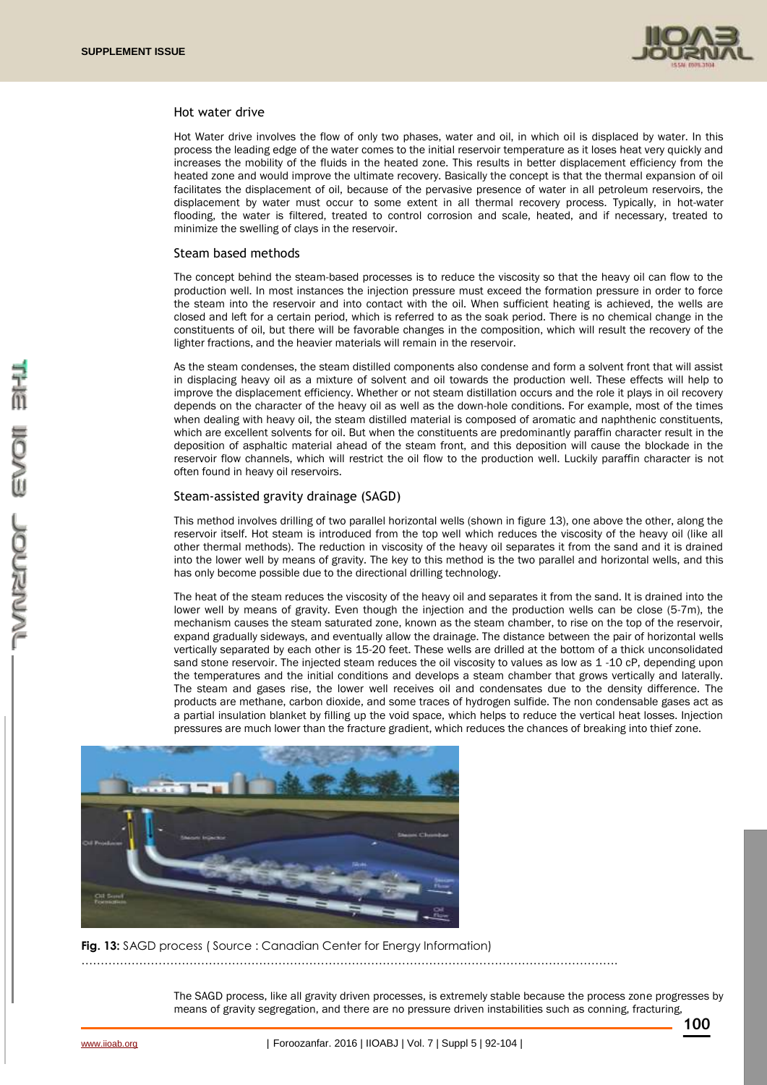

#### Hot water drive

Hot Water drive involves the flow of only two phases, water and oil, in which oil is displaced by water. In this process the leading edge of the water comes to the initial reservoir temperature as it loses heat very quickly and increases the mobility of the fluids in the heated zone. This results in better displacement efficiency from the heated zone and would improve the ultimate recovery. Basically the concept is that the thermal expansion of oil facilitates the displacement of oil, because of the pervasive presence of water in all petroleum reservoirs, the displacement by water must occur to some extent in all thermal recovery process. Typically, in hot-water flooding, the water is filtered, treated to control corrosion and scale, heated, and if necessary, treated to minimize the swelling of clays in the reservoir.

### Steam based methods

The concept behind the steam-based processes is to reduce the viscosity so that the heavy oil can flow to the production well. In most instances the injection pressure must exceed the formation pressure in order to force the steam into the reservoir and into contact with the oil. When sufficient heating is achieved, the wells are closed and left for a certain period, which is referred to as the soak period. There is no chemical change in the constituents of oil, but there will be favorable changes in the composition, which will result the recovery of the lighter fractions, and the heavier materials will remain in the reservoir.

As the steam condenses, the steam distilled components also condense and form a solvent front that will assist in displacing heavy oil as a mixture of solvent and oil towards the production well. These effects will help to improve the displacement efficiency. Whether or not steam distillation occurs and the role it plays in oil recovery depends on the character of the heavy oil as well as the down-hole conditions. For example, most of the times when dealing with heavy oil, the steam distilled material is composed of aromatic and naphthenic constituents, which are excellent solvents for oil. But when the constituents are predominantly paraffin character result in the deposition of asphaltic material ahead of the steam front, and this deposition will cause the blockade in the reservoir flow channels, which will restrict the oil flow to the production well. Luckily paraffin character is not often found in heavy oil reservoirs.

#### Steam-assisted gravity drainage (SAGD)

This method involves drilling of two parallel horizontal wells (shown in figure 13), one above the other, along the reservoir itself. Hot steam is introduced from the top well which reduces the viscosity of the heavy oil (like all other thermal methods). The reduction in viscosity of the heavy oil separates it from the sand and it is drained into the lower well by means of gravity. The key to this method is the two parallel and horizontal wells, and this has only become possible due to the directional drilling technology.

The heat of the steam reduces the viscosity of the heavy oil and separates it from the sand. It is drained into the lower well by means of gravity. Even though the injection and the production wells can be close (5-7m), the mechanism causes the steam saturated zone, known as the steam chamber, to rise on the top of the reservoir, expand gradually sideways, and eventually allow the drainage. The distance between the pair of horizontal wells vertically separated by each other is 15-20 feet. These wells are drilled at the bottom of a thick unconsolidated sand stone reservoir. The injected steam reduces the oil viscosity to values as low as 1-10 cP, depending upon the temperatures and the initial conditions and develops a steam chamber that grows vertically and laterally. The steam and gases rise, the lower well receives oil and condensates due to the density difference. The products are methane, carbon dioxide, and some traces of hydrogen sulfide. The non condensable gases act as a partial insulation blanket by filling up the void space, which helps to reduce the vertical heat losses. Injection pressures are much lower than the fracture gradient, which reduces the chances of breaking into thief zone.



**Fig. 13:** SAGD process ( Source : Canadian Center for Energy Information)

………………………………………………………………………………………………………………………….

The SAGD process, like all gravity driven processes, is extremely stable because the process zone progresses by means of gravity segregation, and there are no pressure driven instabilities such as conning, fracturing,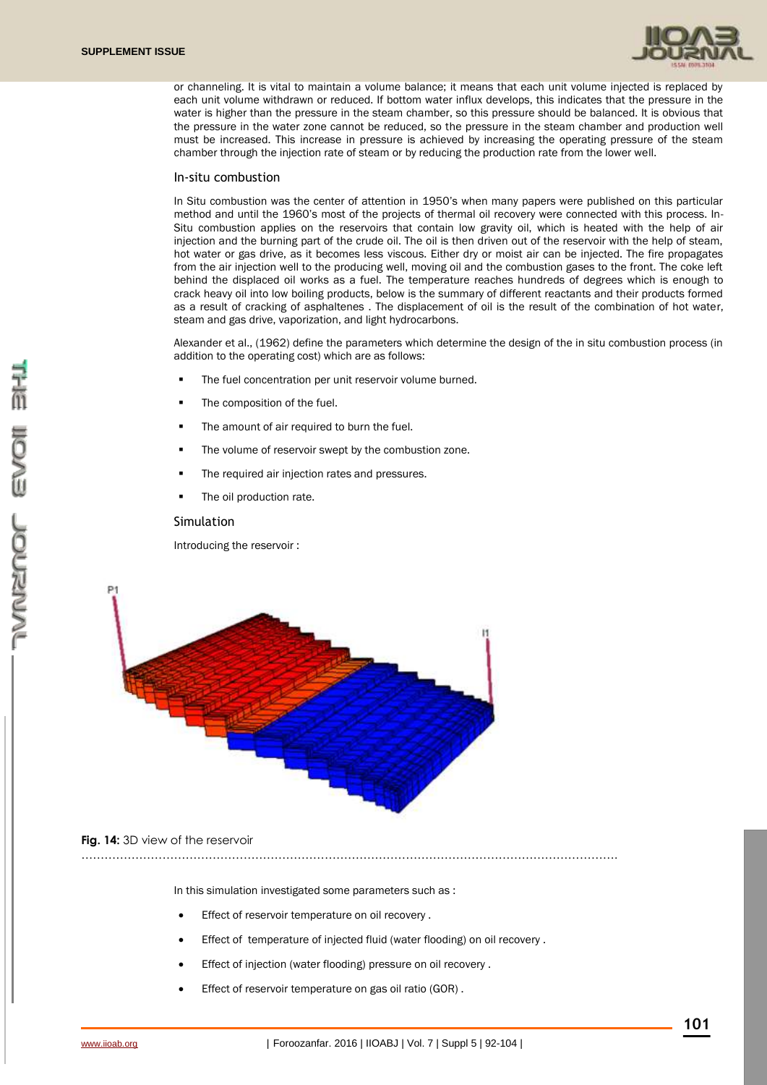

or channeling. It is vital to maintain a volume balance; it means that each unit volume injected is replaced by each unit volume withdrawn or reduced. If bottom water influx develops, this indicates that the pressure in the water is higher than the pressure in the steam chamber, so this pressure should be balanced. It is obvious that the pressure in the water zone cannot be reduced, so the pressure in the steam chamber and production well must be increased. This increase in pressure is achieved by increasing the operating pressure of the steam chamber through the injection rate of steam or by reducing the production rate from the lower well.

#### In-situ combustion

In Situ combustion was the center of attention in 1950's when many papers were published on this particular method and until the 1960's most of the projects of thermal oil recovery were connected with this process. In-Situ combustion applies on the reservoirs that contain low gravity oil, which is heated with the help of air injection and the burning part of the crude oil. The oil is then driven out of the reservoir with the help of steam, hot water or gas drive, as it becomes less viscous. Either dry or moist air can be injected. The fire propagates from the air injection well to the producing well, moving oil and the combustion gases to the front. The coke left behind the displaced oil works as a fuel. The temperature reaches hundreds of degrees which is enough to crack heavy oil into low boiling products, below is the summary of different reactants and their products formed as a result of cracking of asphaltenes . The displacement of oil is the result of the combination of hot water, steam and gas drive, vaporization, and light hydrocarbons.

Alexander et al., (1962) define the parameters which determine the design of the in situ combustion process (in addition to the operating cost) which are as follows:

- The fuel concentration per unit reservoir volume burned.
- The composition of the fuel.
- The amount of air required to burn the fuel.
- The volume of reservoir swept by the combustion zone.
- The required air injection rates and pressures.
- The oil production rate.

#### Simulation

Introducing the reservoir :



### **Fig. 14:** 3D view of the reservoir

In this simulation investigated some parameters such as :

………………………………………………………………………………………………………………………….

- Effect of reservoir temperature on oil recovery .
- Effect of temperature of injected fluid (water flooding) on oil recovery .
- Effect of injection (water flooding) pressure on oil recovery .
- Effect of reservoir temperature on gas oil ratio (GOR) .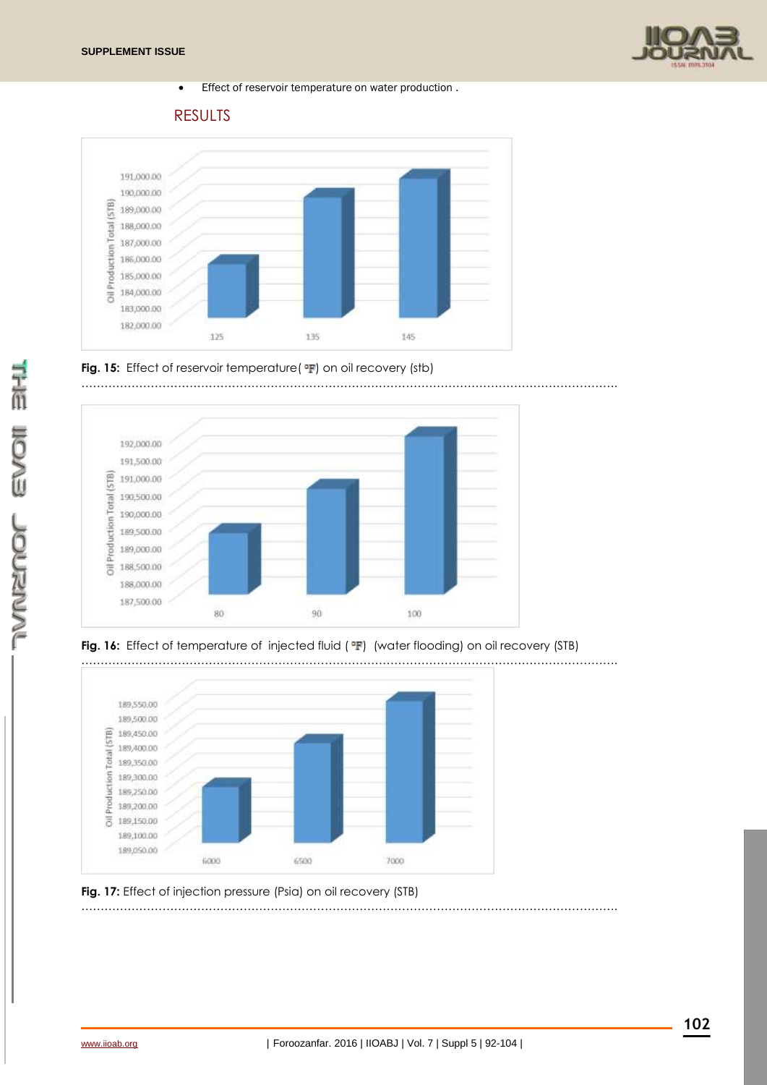

Effect of reservoir temperature on water production .

RESULTS







**Fig. 16:** Effect of temperature of injected fluid (  $\textdegree F$  ) (water flooding) on oil recovery (STB)



**Fig. 17:** Effect of injection pressure (Psia) on oil recovery (STB) ………………………………………………………………………………………………………………………….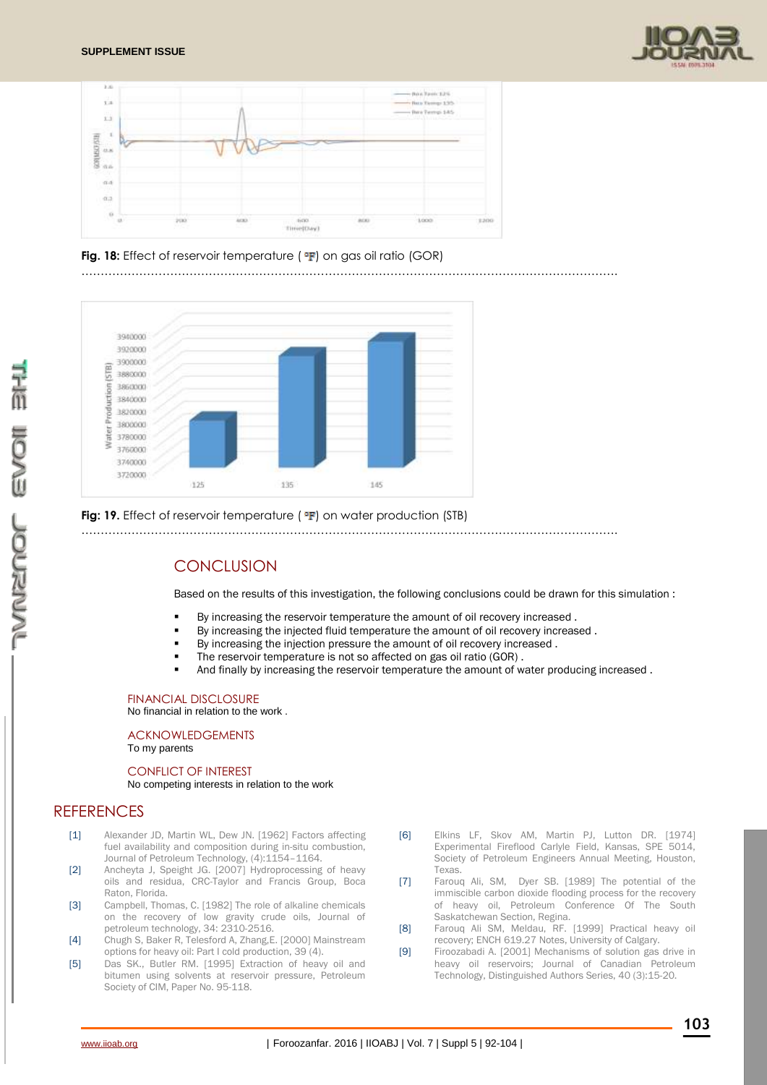





………………………………………………………………………………………………………………………….



### **Fig: 19.** Effect of reservoir temperature (  $\text{F}$ ) on water production (STB)

………………………………………………………………………………………………………………………….

# **CONCLUSION**

Based on the results of this investigation, the following conclusions could be drawn for this simulation :

- By increasing the reservoir temperature the amount of oil recovery increased .
- By increasing the injected fluid temperature the amount of oil recovery increased .
- By increasing the injection pressure the amount of oil recovery increased .
- The reservoir temperature is not so affected on gas oil ratio (GOR) .
- And finally by increasing the reservoir temperature the amount of water producing increased .

### FINANCIAL DISCLOSURE

No financial in relation to the work .

#### ACKNOWLEDGEMENTS To my parents

# CONFLICT OF INTEREST

### No competing interests in relation to the work

# **RFFFRENCES**

- [1] Alexander JD, Martin WL, Dew JN. [1962] Factors affecting fuel availability and composition during in-situ combustion, Journal of Petroleum Technology, (4):1154–1164.
- [2] Ancheyta J, Speight JG. [2007] Hydroprocessing of heavy oils and residua, CRC-Taylor and Francis Group, Boca Raton, Florida.
- [3] Campbell, Thomas, C. [1982] The role of alkaline chemicals on the recovery of low gravity crude oils, Journal of petroleum technology, 34: 2310-2516.
- [4] Chugh S, Baker R, Telesford A, Zhang,E. [2000] Mainstream options for heavy oil: Part I cold production, 39 (4).
- [5] Das SK., Butler RM. [1995] Extraction of heavy oil and bitumen using solvents at reservoir pressure, Petroleum Society of CIM, Paper No. 95-118.
- [6] Elkins LF, Skov AM, Martin PJ, Lutton DR. [1974] Experimental Fireflood Carlyle Field, Kansas, SPE 5014, Society of Petroleum Engineers Annual Meeting, Houston, Texas.
- [7] Farouq Ali, SM, Dyer SB. [1989] The potential of the immiscible carbon dioxide flooding process for the recovery of heavy oil, Petroleum Conference Of The South Saskatchewan Section, Regina.
- [8] Farouq Ali SM, Meldau, RF. [1999] Practical heavy oil recovery; ENCH 619.27 Notes, University of Calgary.
- [9] Firoozabadi A. [2001] Mechanisms of solution gas drive in heavy oil reservoirs; Journal of Canadian Petroleum Technology, Distinguished Authors Series, 40 (3):15-20.